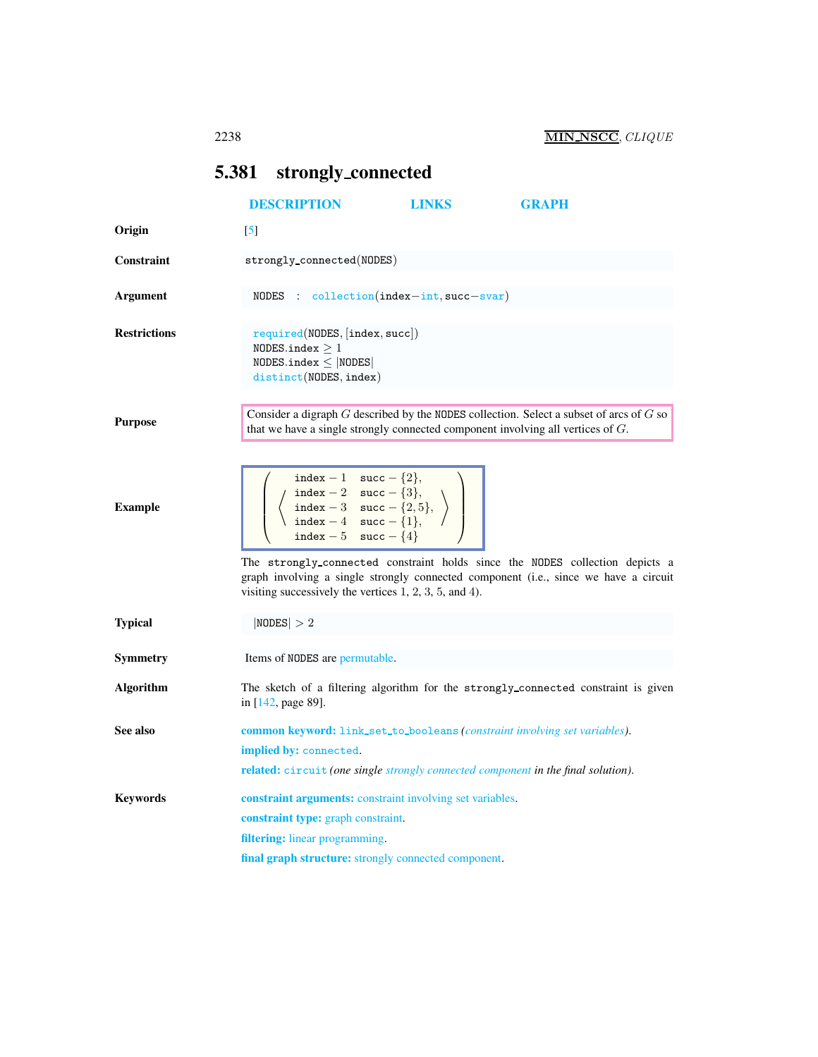## <span id="page-0-0"></span>5.381 strongly connected

<span id="page-0-1"></span>

|                     | <b>DESCRIPTION</b>                                                                                                                                                                                                                                                           | <b>LINKS</b> | <b>GRAPH</b>                                                                                                                                                         |
|---------------------|------------------------------------------------------------------------------------------------------------------------------------------------------------------------------------------------------------------------------------------------------------------------------|--------------|----------------------------------------------------------------------------------------------------------------------------------------------------------------------|
| Origin              | $\lceil 5 \rceil$                                                                                                                                                                                                                                                            |              |                                                                                                                                                                      |
| Constraint          | strongly_connected(NODES)                                                                                                                                                                                                                                                    |              |                                                                                                                                                                      |
| Argument            | $NODES: collection/index-int, succ-svar)$                                                                                                                                                                                                                                    |              |                                                                                                                                                                      |
| <b>Restrictions</b> | required(NDDES,  index, succ )<br>NODES.index $\geq 1$<br>$NODES.index \leq  NODES $<br>distinct(NODES, index)                                                                                                                                                               |              |                                                                                                                                                                      |
| <b>Purpose</b>      | that we have a single strongly connected component involving all vertices of $G$ .                                                                                                                                                                                           |              | Consider a digraph $G$ described by the NODES collection. Select a subset of arcs of $G$ so                                                                          |
| <b>Example</b>      | index - 1 $succ$ - {2},<br>$\left\{\n \begin{array}{c}\n \text{index } -2 \quad \text{succ } -\{3\}, \\ \text{index } -3 \quad \text{succ } -\{2,5\}, \\ \text{index } -4 \quad \text{succ } -\{1\}, \\ \text{index } -5 \quad \text{succ } -\{4\}\n \end{array}\n \right\}$ |              |                                                                                                                                                                      |
|                     | visiting successively the vertices $1, 2, 3, 5,$ and $4$ ).                                                                                                                                                                                                                  |              | The strongly_connected constraint holds since the NODES collection depicts a<br>graph involving a single strongly connected component (i.e., since we have a circuit |
| <b>Typical</b>      | NODES  > 2                                                                                                                                                                                                                                                                   |              |                                                                                                                                                                      |
| <b>Symmetry</b>     | Items of NODES are permutable.                                                                                                                                                                                                                                               |              |                                                                                                                                                                      |
| <b>Algorithm</b>    | in [142, page 89].                                                                                                                                                                                                                                                           |              | The sketch of a filtering algorithm for the strongly_connected constraint is given                                                                                   |
| See also            | <b>common keyword:</b> link_set_to_booleans ( <i>constraint involving set variables</i> ).                                                                                                                                                                                   |              |                                                                                                                                                                      |
|                     | <b>implied by:</b> connected.<br><b>related:</b> circuit (one single strongly connected component in the final solution).                                                                                                                                                    |              |                                                                                                                                                                      |
| <b>Keywords</b>     | <b>constraint arguments:</b> constraint involving set variables.<br>constraint type: graph constraint.<br><b>filtering:</b> linear programming.                                                                                                                              |              |                                                                                                                                                                      |
|                     | final graph structure: strongly connected component.                                                                                                                                                                                                                         |              |                                                                                                                                                                      |